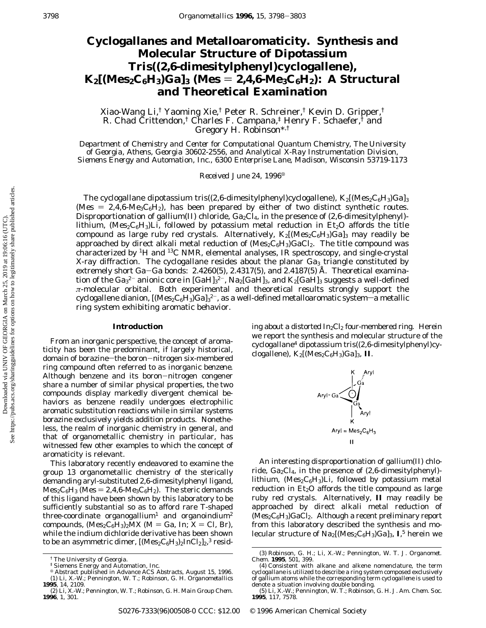# **Cyclogallanes and Metalloaromaticity. Synthesis and Molecular Structure of Dipotassium Tris((2,6-dimesitylphenyl)cyclogallene),**  $K_2$ [(Mes<sub>2</sub>C<sub>6</sub>H<sub>3</sub>)Ga]<sub>3</sub> (Mes = 2,4,6-Me<sub>3</sub>C<sub>6</sub>H<sub>2</sub>): A Structural **and Theoretical Examination**

Xiao-Wang Li,† Yaoming Xie,† Peter R. Schreiner,† Kevin D. Gripper,† R. Chad Crittendon,† Charles F. Campana,‡ Henry F. Schaefer,† and Gregory H. Robinson\*,†

*Department of Chemistry and Center for Computational Quantum Chemistry, The University of Georgia, Athens, Georgia 30602-2556, and Analytical X-Ray Instrumentation Division, Siemens Energy and Automation, Inc., 6300 Enterprise Lane, Madison, Wisconsin 53719-1173*

*Received June 24, 1996*<sup> $\otimes$ </sup>

The cyclogallane dipotassium tris((2,6-dimesitylphenyl)cyclogallene),  $K_2$ [(Mes<sub>2</sub>C<sub>6</sub>H<sub>3</sub>)Ga]<sub>3</sub> (Mes  $= 2,4,6$ -Me<sub>3</sub>C<sub>6</sub>H<sub>2</sub>), has been prepared by either of two distinct synthetic routes. Disproportionation of gallium(II) chloride,  $Ga_2Cl_4$ , in the presence of (2,6-dimesitylphenyl)lithium, (Mes<sub>2</sub>C<sub>6</sub>H<sub>3</sub>)Li, followed by potassium metal reduction in Et<sub>2</sub>O affords the title compound as large ruby red crystals. Alternatively,  $K_2[(Mes_2C_6H_3)Ga]_3$  may readily be approached by direct alkali metal reduction of (Mes<sub>2</sub>C<sub>6</sub>H<sub>3</sub>)GaCl<sub>2</sub>. The title compound was characterized by <sup>1</sup>H and <sup>13</sup>C NMR, elemental analyses, IR spectroscopy, and single-crystal X-ray diffraction. The cyclogallane resides about the planar  $Ga<sub>3</sub>$  triangle constituted by extremely short Ga-Ga bonds: 2.4260(5), 2.4317(5), and 2.4187(5) Å. Theoretical examination of the Ga $_3{}^{2-}$  anionic core in [GaH] $_3{}^{2-}$ , Na $_2$ [GaH] $_3$ , and K $_2$ [GaH] $_3$  suggests a well-defined *π*-molecular orbital. Both experimental and theoretical results strongly support the cyclogallene dianion, [(Mes2C6H3)Ga]3<sup>2-</sup>, as a well-defined metalloaromatic system—a metallic ring system exhibiting aromatic behavior.

### **Introduction**

From an inorganic perspective, the concept of aromaticity has been the predominant, if largely historical, domain of borazine-the boron-nitrogen six-membered ring compound often referred to as *inorganic benzene*. Although benzene and its boron-nitrogen congener share a number of similar physical properties, the two compounds display markedly divergent chemical behaviors as benzene readily undergoes electrophilic aromatic substitution reactions while in similar systems borazine exclusively yields addition products. Nonetheless, the realm of inorganic chemistry in general, and that of organometallic chemistry in particular, has witnessed few other examples to which the concept of aromaticity is relevant.

This laboratory recently endeavored to examine the group 13 organometallic chemistry of the sterically demanding aryl-substituted 2,6-dimesitylphenyl ligand,  $Mes_2C_6H_3$  (Mes = 2,4,6-Me<sub>3</sub>C<sub>6</sub>H<sub>2</sub>). The steric demands of this ligand have been shown by this laboratory to be sufficiently substantial so as to afford rare T-shaped three-coordinate organogallium<sup>1</sup> and organoindium<sup>2</sup> compounds,  $(Mes_2C_6H_3)_2MX$  (M = Ga, In; X = Cl, Br), while the indium dichloride derivative has been shown to be an asymmetric dimer,  $[(\text{Mes}_2 \text{C}_6\text{H}_3)_2 \text{InCl}_2]_2$ ,<sup>3</sup> residing about a distorted  $In_2Cl_2$  four-membered ring. Herein we report the synthesis and molecular structure of the cyclogallane<sup>4</sup> dipotassium tris $((2,6$ -dimesitylphenyl)cyclogallene),  $K_2$ [(Mes<sub>2</sub>C<sub>6</sub>H<sub>3</sub>)Ga]<sub>3</sub>, **II**.



An interesting disproportionation of gallium(II) chloride, Ga<sub>2</sub>Cl<sub>4</sub>, in the presence of (2,6-dimesitylphenyl)lithium,  $(Mes_2C_6H_3)Li$ , followed by potassium metal reduction in  $Et<sub>2</sub>O$  affords the title compound as large ruby red crystals. Alternatively, **II** may readily be approached by direct alkali metal reduction of  $(Mes_2C_6H_3)GaCl_2$ . Although a recent preliminary report from this laboratory described the synthesis and molecular structure of Na2[(Mes<sub>2</sub>C<sub>6</sub>H<sub>3</sub>)Ga]<sub>3</sub>, **I**,<sup>5</sup> herein we

<sup>†</sup> The University of Georgia.

<sup>‡</sup> Siemens Energy and Automation, Inc. <sup>X</sup> Abstract published in *Advance ACS Abstracts,* August 15, 1996. (1) Li, X.-W.; Pennington, W. T.; Robinson, G. H. *Organometallics*

**<sup>1995</sup>**, *14*, 2109. (2) Li, X.-W.; Pennington, W. T.; Robinson, G. H. *Main Group Chem.* **1996**, *1*, 301.

<sup>(3)</sup> Robinson, G. H.; Li, X.-W.; Pennington, W. T. *J. Organomet. Chem.* **1995**, *501*, 399.

<sup>(4)</sup> Consistent with alkane and alkene nomenclature, the term *cyclogallane* is utilized to describe a ring system composed exclusively of gallium atoms while the corresponding term *cyclogallene* is used to denote a situation involving double bonding. (5) Li, X.-W.; Pennington, W. T.; Robinson, G. H. *J. Am. Chem. Soc.*

**<sup>1995</sup>**, *117*, 7578.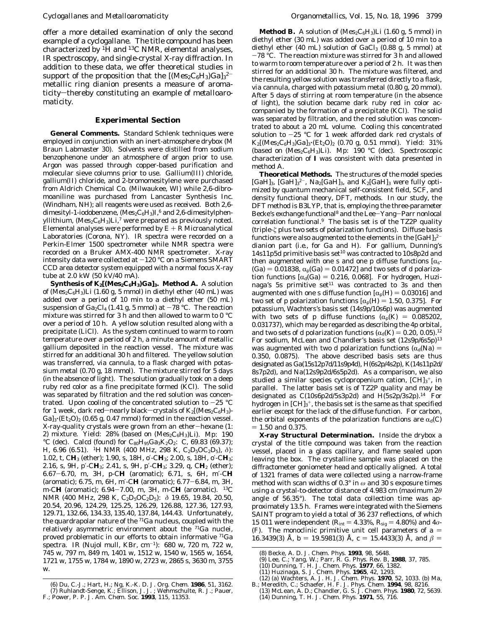offer a more detailed examination of only the second example of a cyclogallane. The title compound has been characterized by  ${}^{1}H$  and  ${}^{13}C$  NMR, elemental analyses, IR spectroscopy, and single-crystal X-ray diffraction. In addition to these data, we offer theoretical studies in support of the proposition that the  $[(Mes_2C_6H_3)Ga]_3^{2-}$ metallic ring dianion presents a measure of aromaticity-thereby constituting an example of *metalloaromaticity*.

## **Experimental Section**

**General Comments.** Standard Schlenk techniques were employed in conjunction with an inert-atmosphere drybox (M Braun Labmaster 30). Solvents were distilled from sodium benzophenone under an atmosphere of argon prior to use. Argon was passed through copper-based purification and molecular sieve columns prior to use. Gallium(III) chloride, gallium(II) chloride, and 2-bromomesitylene were purchased from Aldrich Chemical Co. (Milwaukee, WI) while 2,6-dibromoaniline was purchased from Lancaster Synthesis Inc. (Windham, NH); all reagents were used as received. Both 2,6 dimesityl-1-iodobenzene,  $(Mes_2C_6H_3)I, 6$  and 2,6-dimesitylphenyllithium,  $(Mes_2C_6H_3)Li$ ,<sup>7</sup> were prepared as previously noted. Elemental analyses were performed by  $E + R$  Microanalytical Laboratories (Corona, NY). IR spectra were recorded on a Perkin-Elmer 1500 spectrometer while NMR spectra were recorded on a Bruker AMX-400 NMR spectrometer. X-ray intensity data were collected at  $-120$  °C on a Siemens SMART CCD area detector system equipped with a normal focus X-ray tube at 2.0 kW (50 kV/40 mA).

**Synthesis of K<sub>2</sub>[(Mes<sub>2</sub>C<sub>6</sub>H<sub>3</sub>)Ga]<sub>3</sub>. Method A.** A solution of ( $\text{Mes}_2\text{C}_6\text{H}_3$ )Li (1.60 g, 5 mmol) in diethyl ether (40 mL) was added over a period of 10 min to a diethyl ether (50 mL) suspension of Ga<sub>2</sub>Cl<sub>4</sub> (1.41 g, 5 mmol) at  $-78$  °C. The reaction mixture was stirred for 3 h and then allowed to warm to 0 °C over a period of 10 h. A yellow solution resulted along with a precipitate (LiCl). As the system continued to warm to room temperature over a period of 2 h, a minute amount of metallic gallium deposited in the reaction vessel. The mixture was stirred for an additional 30 h and filtered. The yellow solution was transferred, *via* cannula, to a flask charged with potassium metal (0.70 g, 18 mmol). The mixture stirred for 5 days (in the absence of light). The solution gradually took on a deep ruby red color as a fine precipitate formed (KCl). The solid was separated by filtration and the red solution was concentrated. Upon cooling of the concentrated solution to  $-25$  °C for 1 week, dark red-nearly black-crystals of  $K_2$ [(Mes<sub>2</sub>C<sub>6</sub>H<sub>3</sub>)- $Ga]_3$ · $(Et_2O)_2$  (0.65 g, 0.47 mmol) formed in the reaction vessel. X-ray-quality crystals were grown from an ether-hexane (1: 2) mixture. Yield:  $28\%$  (based on (Mes<sub>2</sub>C<sub>6</sub>H<sub>3</sub>)Li). Mp: 190 °C (dec). Calcd (found) for  $C_{80}H_{95}Ga_3K_2O_2$ : C, 69.83 (69.37); H, 6.96 (6.51). 1H NMR (400 MHz, 298 K, C2D5OC2D5), *δ*): 1.02, t, C*H*<sup>3</sup> (ether); 1.90, s, 18H, o′-C*H*3; 2.00, s, 18H, o′-C*H*3; 2.16, s, 9H, p′-C*H*3; 2.41, s, 9H, p′-C*H*3; 3.29, q, C*H*<sup>2</sup> (ether); 6.67-6.70, m, 3H, p-C*H* (aromatic); 6.71, s, 6H, m′-C*H* (aromatic); 6.75, m, 6H, m′-C*H* (aromatic); 6.77-6.84, m, 3H, m-C*H* (aromatic); 6.94-7.00, m, 3H, m-C*H* (aromatic). 13C NMR (400 MHz, 298 K, C<sub>2</sub>D<sub>5</sub>OC<sub>2</sub>D<sub>5</sub>): δ 19.65, 19.84, 20.50, 20.54, 20.96, 124.29, 125.25, 126.29, 126.88, 127.36, 127.93, 129.71, 132.66, 134.33, 135.40, 137.84, 144.43. Unfortunately, the quardrapolar nature of the 71Ga nucleus, coupled with the relatively asymmetric environment about the 71Ga nuclei, proved problematic in our efforts to obtain informative 71Ga spectra. IR (Nujol mull, KBr, cm-1): 680 w, 720 m, 722 w, 745 w, 797 m, 849 m, 1401 w, 1512 w, 1540 w, 1565 w, 1654, 1721 w, 1755 w, 1784 w, 1890 w, 2723 w, 2865 s, 3630 m, 3755 w.

**Method B.** A solution of  $(Mes_2C_6H_3)Li(1.60 g, 5 mmol)$  in diethyl ether (30 mL) was added over a period of 10 min to a diethyl ether (40 mL) solution of GaCl<sub>3</sub> (0.88 g, 5 mmol) at  $-78$  °C. The reaction mixture was stirred for 3 h and allowed to warm to room temperature over a period of 2 h. It was then stirred for an additional 30 h. The mixture was filtered, and the resulting yellow solution was transferred directly to a flask, *via* cannula, charged with potassium metal (0.80 g, 20 mmol). After 5 days of stirring at room temperature (in the absence of light), the solution became dark ruby red in color accompanied by the formation of a precipitate (KCl). The solid was separated by filtration, and the red solution was concentrated to about a 20 mL volume. Cooling this concentrated solution to  $-25$  °C for 1 week afforded dark red crystals of  $K_2$ [(Mes<sub>2</sub>C<sub>6</sub>H<sub>3</sub>)Ga]<sub>3</sub>·(Et<sub>2</sub>O)<sub>2</sub> (0.70 g, 0.51 mmol). Yield: 31% (based on  $(Mes_2C_6H_3)Li$ ). Mp: 190 °C (dec). Spectroscopic characterization of **I** was consistent with data presented in method A.

**Theoretical Methods.** The structures of the model species [GaH]<sub>3</sub>, [GaH]<sub>3</sub><sup>2-</sup>, Na<sub>2</sub>[GaH]<sub>3</sub>, and K<sub>2</sub>[GaH]<sub>3</sub> were fully optimized by quantum mechanical self-consistent field, SCF, and density functional theory, DFT, methods. In our study, the DFT method is B3LYP, that is, employing the three-parameter Becke's exchange functional8 and the Lee-Yang-Parr nonlocal correlation functional.9 The basis set is of the TZ2P quality (triple-*ú* plus two sets of polarization functions). Diffuse basis functions were also augmented to the elements in the  $[GaH]_3^{2-}$ dianion part (*i.e.*, for Ga and H). For gallium, Dunning's 14s11p5d primitive basis set<sup>10</sup> was contracted to 10s8p2d and then augmented with one s and one p diffuse functions  $[\alpha_s]$  $(Ga) = 0.01838$ ,  $\alpha_p(Ga) = 0.01472$ ] and two sets of d polarization functions  $[\alpha_d(Ga) = 0.216, 0.068]$ . For hydrogen, Huzinaga's 5s primitive set<sup>11</sup> was contracted to 3s and then augmented with one s diffuse function  $\alpha_p(H) = 0.03016$  and two set of p polarization functions  $[\alpha_p(H) = 1.50, 0.375]$ . For potassium, Wachters's basis set (14s9p/10s6p) was augmented with two sets of p diffuse functions ( $\alpha_p(K) = 0.085202$ , 0.031737), which may be regarded as describing the 4p orbital, and two sets of d polarization functions ( $\alpha_d(K) = 0.20, 0.05$ ).<sup>12</sup> For sodium, McLean and Chandler's basis set (12s9p/6s5p)13 was augmented with two d polarization functions ( $\alpha_d(Na)$  = 0.350, 0.0875). The above described basis sets are thus designated as Ga(15s12p7d/11s9p4d), H(6s2p/4s2p), K(14s11p2d/ 8s7p2d), and Na(12s9p2d/6s5p2d). As a comparison, we also studied a similar species cyclopropenium cation,  ${\rm [CH]_3^+}$ , in parallel. The latter basis set is of TZ2P quality and may be designated as C(10s6p2d/5s3p2d) and H(5s2p/3s2p).14 For hydrogen in  $\rm [CH]_{3}^+$ , the basis set is the same as that specified earlier except for the lack of the diffuse function. For carbon, the orbital exponents of the polarization functions are  $\alpha_d(C)$  $= 1.50$  and 0.375.

**X-ray Structural Determination.** Inside the drybox a crystal of the title compound was taken from the reaction vessel, placed in a glass capillary, and flame sealed upon leaving the box. The crystalline sample was placed on the diffractometer goniometer head and optically aligned. A total of 1321 frames of data were collected using a narrow-frame method with scan widths of 0.3° in *ω* and 30 s exposure times using a crystal-to-detector distance of 4.983 cm (maximum 2*θ* angle of 56.35°). The total data collection time was approximately 13.5 h. Frames were integrated with the Siemens SAINT program to yield a total of 36 237 reflections, of which 15 011 were independent ( $R_{\text{int}} = 4.33\%$ ,  $R_{\text{sig}} = 4.80\%$ ) and  $4\sigma$ -( $F$ ). The monoclinic primitive unit cell parameters of  $a =$ 16.3439(3) Å,  $b = 19.5981(3)$  Å,  $c = 15.4433(3)$  Å, and  $\beta =$ 

<sup>(8)</sup> Becke, A. D. *J. Chem. Phys.* **1993**, *98*, 5648. (9) Lee, C.; Yang, W.; Parr, R. G. *Phys. Rev. B*, **1988**, *37*, 785.

<sup>(10)</sup> Dunning, T. H. *J. Chem. Phys.* **1977**, *66*, 1382. (11) Huzinaga, S. *J. Chem. Phys.* **1965**, *42*, 1293.

<sup>(12) (</sup>a) Wachters, A. J. H. *J. Chem. Phys.* **1970**, *52*, 1033. (b) Ma,

B.; Meredith, C.; Schaefer, H. F. *J. Phys. Chem.* **1994**, *98*, 8216. (13) McLean, A. D.; Chandler, G. S. *J. Chem. Phys.* **1980**, *72*, 5639. (14) Dunning, T. H. *J. Chem. Phys.* **1971**, *55*, 716.

<sup>(6)</sup> Du, C.-J.; Hart, H.; Ng, K.-K. D. *J. Org. Chem.* **1986**, *51*, 3162. (7) Ruhlandt-Senge, K.; Ellison, J. J. ; Wehmschulte, R. J.; Pauer, F.; Power, P. P. *J. Am. Chem. Soc.* **1993**, *115*, 11353.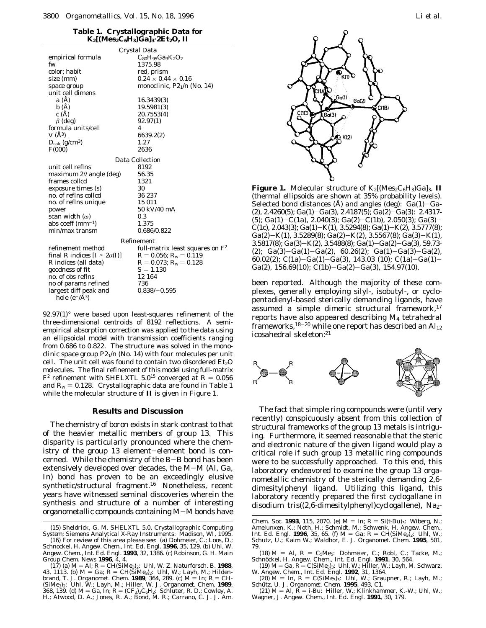### **Table 1. Crystallographic Data for**  $K_2$ [(Mes<sub>2</sub>C<sub>6</sub>H<sub>3</sub>) $\bar{G}a$ ]<sub>3</sub>·2Et<sub>2</sub>O, II

| Crystal Data                                |                                    |  |  |  |  |
|---------------------------------------------|------------------------------------|--|--|--|--|
| empirical formula                           | $C_{80}H_{95}Ga_3K_2O_2$           |  |  |  |  |
| fw                                          | 1375.98                            |  |  |  |  |
| color; habit                                | red, prism                         |  |  |  |  |
| size (mm)                                   | $0.24 \times 0.44 \times 0.16$     |  |  |  |  |
| space group                                 | monoclinic, $P2_1/n$ (No. 14)      |  |  |  |  |
| unit cell dimens                            |                                    |  |  |  |  |
| a(A)                                        | 16.3439(3)                         |  |  |  |  |
| b(A)                                        | 19.5981(3)                         |  |  |  |  |
| c(A)                                        | 20.7553(4)                         |  |  |  |  |
| $\beta$ (deg)                               | 92.97(1)                           |  |  |  |  |
| formula units/cell                          | 4                                  |  |  |  |  |
| $V(A^3)$                                    | 6639.2(2)                          |  |  |  |  |
| $D_{\rm calc}$ (g/cm <sup>3</sup> )         | 1.27                               |  |  |  |  |
| F(000)                                      | 2636                               |  |  |  |  |
| <b>Data Collection</b>                      |                                    |  |  |  |  |
| unit cell reflns                            | 8192                               |  |  |  |  |
| maximum $2\theta$ angle (deg)               | 56.35                              |  |  |  |  |
| frames collcd                               | 1321                               |  |  |  |  |
| exposure times (s)                          | 30                                 |  |  |  |  |
| no. of reflns collcd                        | 36 237                             |  |  |  |  |
| no. of reflns unique                        | 15 011                             |  |  |  |  |
| power                                       | 50 kV/40 mA                        |  |  |  |  |
| scan width $(\omega)$                       | 0.3                                |  |  |  |  |
| abs coeff ( $\rm mm^{-1}$ )                 | 1.375                              |  |  |  |  |
| min/max transm                              | 0.686/0.822                        |  |  |  |  |
| Refinement                                  |                                    |  |  |  |  |
| refinement method                           | full-matrix least squares on $F^2$ |  |  |  |  |
| final R indices $[I > 2\sigma(I)]$          | $R = 0.056$ ; $R_w = 0.119$        |  |  |  |  |
| <i>R</i> indices (all data)                 | $R = 0.073$ ; $R_w = 0.128$        |  |  |  |  |
| goodness of fit                             | $S = 1.130$                        |  |  |  |  |
| no. of obs reflns                           | 12 164                             |  |  |  |  |
|                                             | 736                                |  |  |  |  |
| no of params refined                        |                                    |  |  |  |  |
| largest diff peak and<br>hole $(e^{-}/A^3)$ | $0.838/-0.595$                     |  |  |  |  |

92.97(1)° were based upon least-squares refinement of the three-dimensional centroids of 8192 reflections. A semiempirical absorption correction was applied to the data using an ellipsoidal model with transmission coefficients ranging from 0.686 to 0.822. The structure was solved in the monoclinic space group *P*21/n (No. 14) with four molecules per unit cell. The unit cell was found to contain two disordered  $Et<sub>2</sub>O$ molecules. The final refinement of this model using full-matrix  $F^2$  refinement with SHELXTL 5.0<sup>15</sup> converged at  $R = 0.056$ and  $R_w = 0.128$ . Crystallographic data are found in Table 1 while the molecular structure of **II** is given in Figure 1.

### **Results and Discussion**

The chemistry of boron exists in stark contrast to that of the heavier metallic members of group 13. This disparity is particularly pronounced where the chemistry of the group 13 element-element bond is concerned. While the chemistry of the B-B bond has been extensively developed over decades, the M-M (Al, Ga, In) bond has proven to be an exceedingly elusive synthetic/structural fragment.16 Nonetheless, recent years have witnessed seminal discoveries wherein the synthesis and structure of a number of interesting organometallic compounds containing M-M bonds have



**Figure 1.** Molecular structure of  $K_2[(Mes_2C_6H_3)Ga]_3$ , **II** (thermal ellipsoids are shown at 35% probability levels). Selected bond distances (Å) and angles (deg):  $Ga(1)-Ga$ - $(2)$ , 2.4260(5); Ga(1)-Ga(3), 2.4187(5); Ga(2)-Ga(3): 2.4317- $(5)$ ; Ga(1)-C(1a), 2.040(3); Ga(2)-C(1b), 2.050(3); Ga(3)-C(1c), 2.043(3); Ga(1)-K(1), 3.5294(8); Ga(1)-K(2), 3.5777(8); Ga(2)-K(1), 3.5289(8); Ga(2)-K(2), 3.5567(8); Ga(3)-K(1), 3.5817(8); Ga(3)-K(2), 3.5488(8); Ga(1)-Ga(2)-Ga(3), 59.73-(2); Ga(3)-Ga(1)-Ga(2), 60.26(2); Ga(1)-Ga(3)-Ga(2), 60.02(2); C(1a)-Ga(1)-Ga(3), 143.03 (10); C(1a)-Ga(1)-Ga(2), 156.69(10); C(1b)-Ga(2)-Ga(3), 154.97(10).

been reported. Although the majority of these complexes, generally employing silyl-, isobutyl-, or cyclopentadienyl-based sterically demanding ligands, have assumed a simple dimeric structural framework,<sup>17</sup> reports have also appeared describing M4 tetrahedral frameworks,<sup>18-20</sup> while one report has described an  $Al_{12}$ icosahedral skeleton:21



The fact that simple ring compounds were (until very recently) conspicuously absent from this collection of structural frameworks of the group 13 metals is intriguing. Furthermore, it seemed reasonable that the steric and electronic nature of the given ligand would play a critical role if such group 13 metallic ring compounds were to be successfully approached. To this end, this laboratory endeavored to examine the group 13 organometallic chemistry of the sterically demanding 2,6 dimesitylphenyl ligand. Utilizing this ligand, this laboratory recently prepared the first cyclogallane in disodium tris((2,6-dimesitylphenyl)cyclogallene), Na<sub>2</sub>-

<sup>(15)</sup> Sheldrick, G. M. *SHELXTL 5.0*, *Crystallographic Computing System*; Siemens Analytical X-Ray Instruments: Madison, WI, 1995.

<sup>(16)</sup> For review of this area please see: (a) Dohmeier, C.; Loos, D.; Schnockel, H. *Angew. Chem., Int. Ed. Engl.* **1996**, *35*, 129. (b) Uhl, W. *Angew. Chem., Int. Ed. Engl.* **1993**, *32*, 1386. (c) Robinson, G. H. *Main Group Chem. News* **1996**, *4*, 4.

 $(17)$  (a)  $M = Al$ ;  $R = CH(SiMe_3)_2$ : Uhl, W. Z. Naturforsch. B. **1988**, 43, 1113. (b)  $M = Ga$ ;  $R = CH(SiMe_3)_2$ : Uhl, W.; Layh, M.; Hildenbrand, T. *J. Organomet. Chem.* **1989**, 364, 289. (c)  $M = In$ ;  $R = CH$ . (SiMe<sub>3</sub>)<sub>2</sub>: Uhl, W.; Layh, M.; Hiller, W. *J. Organomet. Chem.* **1989**, 368, 139. (d) M = Ga, In; R = (CF<sub>3</sub>)<sub>3</sub>C<sub>6</sub>H<sub>2</sub>: Schluter, R. D.; Cowley, A. H.; Atwood, D. A.; Jones, R. A.; Bond, M. R.; Carrano, C. J. *J. Am.*

*Chem. Soc.* **1993**, 115, 2070. (e)  $M = In; R = \text{Si}(t \cdot Bu)$ <sub>3</sub>: Wiberg, N.; Amelunxen, K.; Noth, H.; Schmidt, M.; Schwenk, H. *Angew. Chem., Int. Ed. Engl.* **1996**, *35*, 65. (f)  $M = Ga$ ;  $R = CH(SiMe<sub>3</sub>)<sub>2</sub>$ : Uhl, W.; Schutz, U.; Kaim W.; Waldhor, E. *J. Organomet. Chem.* **1995**, *501*, 79.

<sup>(18)</sup> M = Al, R = C<sub>5</sub>Me<sub>5</sub>: Dohmeier, C.; Robl, C.; Tacke, M.; Schnöckel, H. *Angew. Chem., Int. Ed. Engl.* **1991**, *30*, 564.

<sup>(19)</sup>  $M = Ga$ ,  $R = C(SiMe<sub>3</sub>)_3$ : Uhl, W.; Hiller, W.; Layh, M. Schwarz, W. *Angew. Chem., Int. Ed. Engl.* **1992**, *31*, 1364.<br>(20)  $M = In$ ,  $R = C(SiMe<sub>3</sub>)_3$ : Uhl, W.; Graupner, R.; Layh, M.;

Schütz, U. *J. Organomet. Chem.* **1995**, 493, C1.<br>(21) M = Al, R = *i*-Bu: Hiller, W.; Klinkhammer, K.-W.; Uhl, W.;

Wagner, J. *Angew. Chem., Int. Ed. Engl.* **1991**, *30*, 179.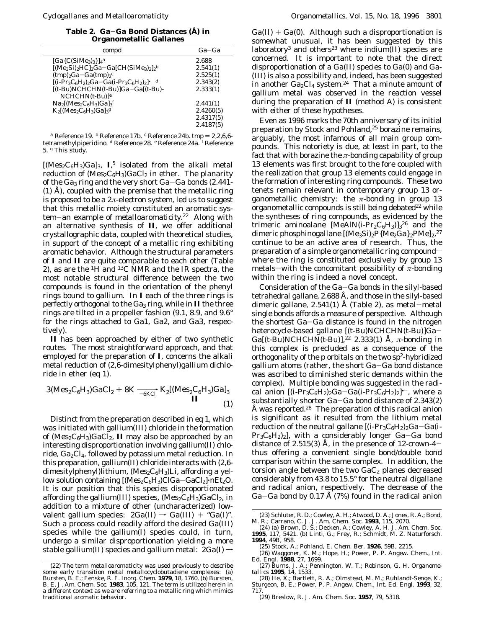**Table 2. Ga**-**Ga Bond Distances (Å) in Organometallic Gallanes**

| compd                                                                      | Ga-Ga     |
|----------------------------------------------------------------------------|-----------|
| $[Ga{C(SiMe3)}3$                                                           | 2.688     |
| $[(Me3Si)2HCl2Ga-Ga]CH(SiMe3)2]$                                           | 2.541(1)  |
| $(tmp)_2Ga-Ga(tmp)_2c$                                                     | 2.525(1)  |
| $[(i-Pr_3C_6H_2)_2Ga-Ga(i-Pr_3C_6H_2)_2]$ <sup>--d</sup>                   | 2.343(2)  |
| $[(t-Bu)NCHCHN(t-Bu)]Ga-Ga[(t-Bu)-$                                        | 2.333(1)  |
| $NCHCHN(t-Bu) e$                                                           |           |
| $Na_2[(Mes_2C_6H_3)Ga]_3^f$                                                | 2.441(1)  |
| $K_2$ [(Mes <sub>2</sub> C <sub>6</sub> H <sub>3</sub> )Ga] <sub>3</sub> g | 2.4260(5) |
|                                                                            | 2.4317(5) |
|                                                                            | 2.4187(5) |
|                                                                            |           |

*a* Reference 19. *b* Reference 17b. *c* Reference 24b. tmp = 2,2,6,6tetramethylpiperidino. *<sup>d</sup>* Reference 28. *<sup>e</sup>* Reference 24a. *<sup>f</sup>* Reference 5. *<sup>g</sup>* This study.

 $[(Mes<sub>2</sub>C<sub>6</sub>H<sub>3</sub>)Ga]<sub>3</sub>$ , **I**<sub>,</sub><sup>5</sup> isolated from the alkali metal reduction of  $(Mes_2C_6H_3)GaCl_2$  in ether. The planarity of the  $Ga_3$  ring and the very short  $Ga-Ga$  bonds (2.441-(1) Å), coupled with the premise that the metallic ring is proposed to be a 2*π*-electron system, led us to suggest that this metallic moiety constituted an aromatic system-an example of *metalloaromaticity*. <sup>22</sup> Along with an alternative synthesis of **II**, we offer additional crystallographic data, coupled with theoretical studies, in support of the concept of a metallic ring exhibiting aromatic behavior. Although the structural parameters of **I** and **II** are quite comparable to each other (Table 2), as are the  ${}^{1}H$  and  ${}^{13}C$  NMR and the IR spectra, the most notable structural difference between the two compounds is found in the orientation of the phenyl rings bound to gallium. In **I** each of the three rings is perfectly orthogonal to the Ga<sub>3</sub> ring, while in **II** the three rings are tilted in a propeller fashion (9.1, 8.9, and 9.6° for the rings attached to Ga1, Ga2, and Ga3, respectively).

**II** has been approached by either of two synthetic routes. The most straightforward approach, and that employed for the preparation of **I**, concerns the alkali<br>metal reduction of (2,6-dimesitylphenyl)gallium dichlo-<br>ride in ether (eq 1).<br> $3(Mes_2C_6H_3)GaCl_2 + 8K \frac{1}{-6KCl} K_2[(Mes_2C_6H_3)Ga]_3$ metal reduction of (2,6-dimesitylphenyl)gallium dichloride in ether (eq 1).

$$
3(Mes_2C_6H_3)GaCl_2 + 8K \frac{1}{-6KC} K_2[(Mes_2C_6H_3)Ga]_3
$$
  
\nII (1)

Distinct from the preparation described in eq 1, which was initiated with gallium(III) chloride in the formation of  $(Mes_2C_6H_3)GaCl_2$ , **II** may also be approached by an interesting disproportionation involving gallium(II) chloride, Ga2Cl4, followed by potassium metal reduction. In this preparation, gallium(II) chloride interacts with (2,6 dimesitylphenyl)lithium, ( $\text{Mes}_2\text{C}_6\text{H}_3$ )Li, affording a yellow solution containing [(Mes<sub>2</sub>C<sub>6</sub>H<sub>3</sub>)ClGa-GaCl<sub>2</sub>]·*n*Et<sub>2</sub>O. It is our position that this species disproportionated affording the gallium(III) species,  $(Mes_2C_6H_3)GaCl_2$ , in addition to a mixture of other (uncharacterized) lowvalent gallium species:  $2Ga(II) \rightarrow Ga(III) + "Ga(I)".$ Such a process could readily afford the desired Ga(III) species while the gallium(I) species could, in turn, undergo a similar disproportionation yielding a more stable gallium(II) species and gallium metal:  $2Ga(I) \rightarrow$ 

 $Ga(II) + Ga(0)$ . Although such a disproportionation is somewhat unusual, it has been suggested by this laboratory<sup>3</sup> and others<sup>23</sup> where indium(II) species are concerned. It is important to note that the direct disproportionation of a Ga(II) species to Ga(0) and Ga- (III) is also a possibility and, indeed, has been suggested in another  $Ga_2Cl_4$  system.<sup>24</sup> That a minute amount of gallium metal was observed in the reaction vessel during the preparation of **II** (method A) is consistent with either of these hypotheses.

Even as 1996 marks the 70th anniversary of its initial preparation by Stock and Pohland,<sup>25</sup> borazine remains, arguably, the most infamous of all main group compounds. This notoriety is due, at least in part, to the fact that with borazine the *π*-bonding capability of group 13 elements was first brought to the fore coupled with the realization that group 13 elements could engage in the formation of interesting ring compounds. These two tenets remain relevant in contemporary group 13 organometallic chemistry: the *π*-bonding in group 13 organometallic compounds is still being debated $22$  while the syntheses of ring compounds, as evidenced by the trimeric aminoalane [MeAlN(*i*-Pr<sub>2</sub>C<sub>6</sub>H<sub>3</sub>)]<sub>3</sub><sup>26</sup> and the dimeric phosphinogallane [(Me3Si)2P{Me2Ga}2PMe]2,<sup>27</sup> continue to be an active area of research. Thus, the preparation of a simple organometallic ring compoundwhere the ring is constituted exclusively by group 13 metals—with the concomitant possibility of  $\pi$ -bonding *within* the ring is indeed a novel concept.

Consideration of the Ga-Ga bonds in the silyl-based tetrahedral gallane, 2.688 Å, and those in the silyl-based dimeric gallane, 2.541(1) Å (Table 2), as metal-metal single bonds affords a measure of perspective. Although the shortest Ga-Ga distance is found in the nitrogen heterocycle-based gallane [(*t*-Bu)NCHCHN(*t*-Bu)]Ga-Ga[(*t*-Bu)NCHCHN(*t*-Bu)],22 2.333(1) Å, *π*-bonding in this complex is precluded as a consequence of the orthogonality of the p orbitals on the two  $sp^2$ -hybridized gallium atoms (rather, the short Ga-Ga bond distance was ascribed to diminished steric demands within the complex). Multiple bonding was suggested in the radical anion  $[(i-Pr_3C_6H_2)_2Ga-Ga(i-Pr_3C_6H_2)_2]$ <sup>\*-</sup>, where a substantially shorter Ga-Ga bond distance of 2.343(2) Å was reported.<sup>28</sup> The preparation of this radical anion is significant as it resulted from the lithium metal reduction of the neutral gallane  $[(i-Pr<sub>3</sub>C<sub>6</sub>H<sub>2</sub>)<sub>2</sub>G<sub>4</sub>-Ga(i- $ln(i-1)$ )]$  $Pr_3C_6H_2_2]$ , with a considerably longer Ga-Ga bond distance of 2.515(3) Å, in the presence of 12-crown-4 $$ thus offering a convenient single bond/double bond comparison within the same complex. In addition, the torsion angle between the two  $GaC_2$  planes decreased considerably from 43.8 to 15.5° for the neutral digallane and radical anion, respectively. The decrease of the Ga-Ga bond by 0.17 Å (7%) found in the radical anion

<sup>(22)</sup> The term metalloaromaticity was used previously to describe some early transition metal metallocyclobutadiene complexes: (a) Bursten, B. E.; Fenske, R. F. *Inorg. Chem.* **1979**, *18*, 1760. (b) Bursten, B. E. *J. Am. Chem. Soc.* **1983**, *105*, 121. The term is utilized herein in a different context as we are referring to a metallic ring which mimics traditional aromatic behavior.

<sup>(23)</sup> Schluter, R. D.; Cowley, A. H.; Atwood, D. A.; Jones, R. A.; Bond, M. R.; Carrano, C. J. *J. Am. Chem. Soc.* **1993**, *115*, 2070.

<sup>(24) (</sup>a) Brown, D. S.; Decken, A.; Cowley, A. H. *J. Am. Chem. Soc.* **1995**, *117*, 5421. (b) Linti, G.; Frey, R.; Schmidt, M. *Z. Naturforsch.* **1994**, *49B*, 958.

<sup>(25)</sup> Stock, A.; Pohland, E. *Chem. Ber.* **1926**, *59B*, 2215.

<sup>(26)</sup> Waggoner, K. M.; Hope, H.; Power, P. P. *Angew. Chem., Int. Ed. Engl.* **1988**, *27*, 1699.

<sup>(27)</sup> Burns, J. A.; Pennington, W. T.; Robinson, G. H. *Organometallics* **1995**, *14*, 1533.

<sup>(28)</sup> He, X.; Bartlett, R. A.; Olmstead, M. M.; Ruhlandt-Senge, K.; Sturgeon, B. E.; Power, P. P. *Angew. Chem., Int. Ed. Engl.* **1993**, *32*, 717.

<sup>(29)</sup> Breslow, R. *J. Am. Chem. Soc.* **1957**, *79*, 5318.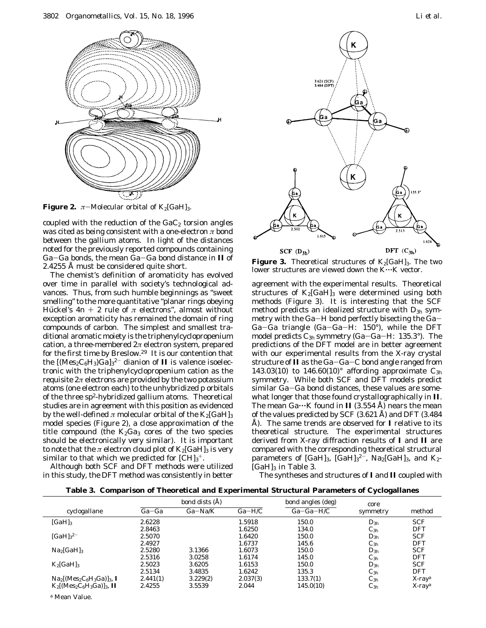

**Figure 2.**  $\pi$ -Molecular orbital of K<sub>2</sub>[GaH]<sub>3</sub>.

coupled with the reduction of the  $GaC_2$  torsion angles was cited as being consistent with a one-electron *π* bond between the gallium atoms. In light of the distances noted for the previously reported compounds containing Ga-Ga bonds, the mean Ga-Ga bond distance in **II** of 2.4255 Å must be considered quite short.

The chemist's definition of aromaticity has evolved over time in parallel with society's technological advances. Thus, from such humble beginnings as "sweet smelling" to the more quantitative "planar rings obeying Hückel's  $4n + 2$  rule of  $\pi$  electrons", almost without exception aromaticity has remained the domain of ring compounds of carbon. The simplest and smallest traditional aromatic moiety is the triphenylcyclopropenium cation, a three-membered 2*π* electron system, prepared for the first time by Breslow.29 It is our contention that the  $[(\text{Mes}_2 \text{C}_6 \text{H}_3) \text{Ga}]_3^2$ <sup>-</sup> dianion of **II** is valence isoelectronic with the triphenylcyclopropenium cation as the requisite  $2\pi$  electrons are provided by the two potassium atoms (one electron each) to the unhybridized p orbitals of the three sp<sup>2</sup>-hybridized gallium atoms. Theoretical studies are in agreement with this position as evidenced by the well-defined  $\pi$  molecular orbital of the K<sub>2</sub>[GaH]<sub>3</sub> model species (Figure 2), a close approximation of the title compound (the  $K_2Ga_3$  cores of the two species should be electronically very similar). It is important to note that the  $\pi$  electron cloud plot of  $K_2[GaH]_3$  is very similar to that which we predicted for  $\mathrm{[CH]_{3}^+}$ .

Although both SCF and DFT methods were utilized in this study, the DFT method was consistently in better



**Figure 3.** Theoretical structures of  $K_2[GaH]_3$ . The two lower structures are viewed down the K...K vector.

agreement with the experimental results. Theoretical structures of  $K_2[GaH]_3$  were determined using both methods (Figure 3). It is interesting that the SCF method predicts an idealized structure with *D*3*<sup>h</sup>* symmetry with the Ga-H bond perfectly bisecting the Ga-Ga-Ga triangle (Ga-Ga-H: 150°), while the DFT model predicts *C*3*<sup>h</sup>* symmetry (Ga-Ga-H: 135.3°). The predictions of the DFT model are in better agreement with our experimental results from the X-ray crystal structure of **II** as the Ga-Ga-C bond angle ranged from 143.03(10) to 146.60(10)° affording approximate  $C_{3h}$ symmetry. While both SCF and DFT models predict similar Ga-Ga bond distances, these values are somewhat longer that those found crystallographically in **II**. The mean  $Ga \cdots K$  found in **II** (3.554 Å) nears the mean of the values predicted by SCF (3.621 Å) and DFT (3.484 Å). The same trends are observed for **I** relative to its theoretical structure. The experimental structures derived from X-ray diffraction results of **I** and **II** are compared with the corresponding theoretical structural parameters of [GaH]<sub>3</sub>, [GaH]<sub>3</sub><sup>2</sub><sup>2</sup>, Na<sub>2</sub>[GaH]<sub>3</sub>, and K<sub>2</sub>-</sup>  $[GaH]_3$  in Table 3.

The syntheses and structures of **I** and **II** coupled with

|  | Table 3. Comparison of Theoretical and Experimental Structural Parameters of Cyclogallanes |  |  |  |
|--|--------------------------------------------------------------------------------------------|--|--|--|
|  |                                                                                            |  |  |  |

|                                                                                      |          | bond dists (Å) |          | bond angles (deg) | core     |                       |
|--------------------------------------------------------------------------------------|----------|----------------|----------|-------------------|----------|-----------------------|
| cyclogallane                                                                         | $Ga-Ga$  | $Ga-Na/K$      | $Ga-H/C$ | $Ga-Ga-H/C$       | symmetry | method                |
| $[GaH]_3$                                                                            | 2.6228   |                | 1.5918   | 150.0             | $D_{3h}$ | <b>SCF</b>            |
|                                                                                      | 2.8463   |                | 1.6250   | 134.0             | $C_{3h}$ | <b>DFT</b>            |
| $[GaH]_3^2$ <sup>-1</sup>                                                            | 2.5070   |                | 1.6420   | 150.0             | $D_{3h}$ | <b>SCF</b>            |
|                                                                                      | 2.4927   |                | 1.6737   | 145.6             | $C_{3h}$ | <b>DFT</b>            |
| Na <sub>2</sub> [GaH] <sub>3</sub>                                                   | 2.5280   | 3.1366         | 1.6073   | 150.0             | $D_{3h}$ | <b>SCF</b>            |
|                                                                                      | 2.5316   | 3.0258         | 1.6174   | 145.0             | $C_{3h}$ | <b>DFT</b>            |
| $K_2[GaH]_3$                                                                         | 2.5023   | 3.6205         | 1.6153   | 150.0             | $D_{3h}$ | <b>SCF</b>            |
|                                                                                      | 2.5134   | 3.4835         | 1.6242   | 135.3             | $C_{3h}$ | <b>DFT</b>            |
| $\text{Na}_2[(\text{Mes}_2\text{C}_6\text{H}_3\text{Ga})]_3$ , I                     | 2.441(1) | 3.229(2)       | 2.037(3) | 133.7(1)          | $C_{3h}$ | $X$ -ray <sup>a</sup> |
| $K_2$ [(Mes <sub>2</sub> C <sub>6</sub> H <sub>3</sub> Ga)] <sub>3</sub> , <b>II</b> | 2.4255   | 3.5539         | 2.044    | 145.0(10)         | $C_{3h}$ | $X$ -ray <sup>a</sup> |

*<sup>a</sup>* Mean Value.